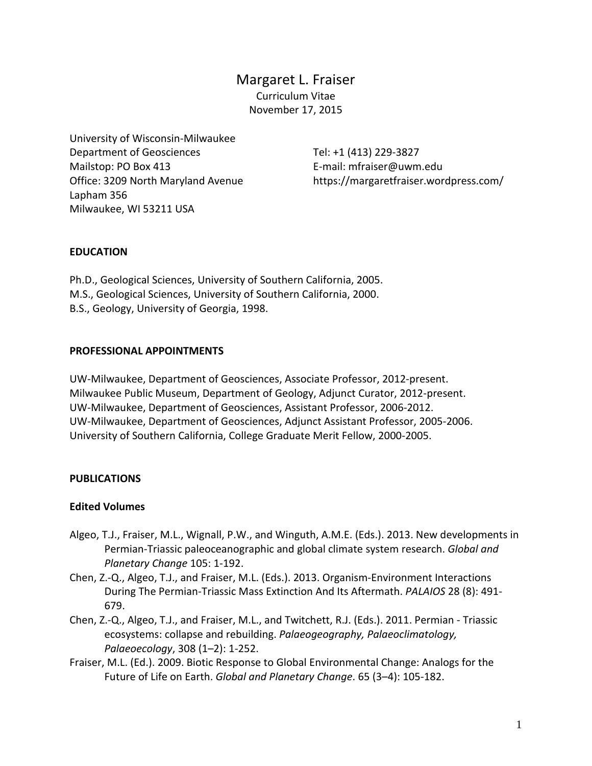Margaret L. Fraiser Curriculum Vitae November 17, 2015

University of Wisconsin-Milwaukee Department of Geosciences Mailstop: PO Box 413 Office: 3209 North Maryland Avenue Lapham 356 Milwaukee, WI 53211 USA

Tel: +1 (413) 229-3827 E-mail: mfraiser@uwm.edu https://margaretfraiser.wordpress.com/

#### **EDUCATION**

Ph.D., Geological Sciences, University of Southern California, 2005. M.S., Geological Sciences, University of Southern California, 2000. B.S., Geology, University of Georgia, 1998.

#### **PROFESSIONAL APPOINTMENTS**

UW-Milwaukee, Department of Geosciences, Associate Professor, 2012-present. Milwaukee Public Museum, Department of Geology, Adjunct Curator, 2012-present. UW-Milwaukee, Department of Geosciences, Assistant Professor, 2006-2012. UW-Milwaukee, Department of Geosciences, Adjunct Assistant Professor, 2005-2006. University of Southern California, College Graduate Merit Fellow, 2000-2005.

#### **PUBLICATIONS**

#### **Edited Volumes**

- Algeo, T.J., Fraiser, M.L., Wignall, P.W., and Winguth, A.M.E. (Eds.). 2013. New developments in Permian-Triassic paleoceanographic and global climate system research. *Global and Planetary Change* 105: 1-192.
- Chen, Z.-Q., Algeo, T.J., and Fraiser, M.L. (Eds.). 2013. Organism-Environment Interactions During The Permian-Triassic Mass Extinction And Its Aftermath. *PALAIOS* 28 (8): 491- 679.
- Chen, Z.-Q., Algeo, T.J., and Fraiser, M.L., and Twitchett, R.J. (Eds.). 2011. Permian Triassic ecosystems: collapse and rebuilding. *Palaeogeography, Palaeoclimatology, Palaeoecology*, 308 (1–2): 1-252.
- Fraiser, M.L. (Ed.). 2009. Biotic Response to Global Environmental Change: Analogs for the Future of Life on Earth. *Global and Planetary Change*. 65 (3–4): 105-182.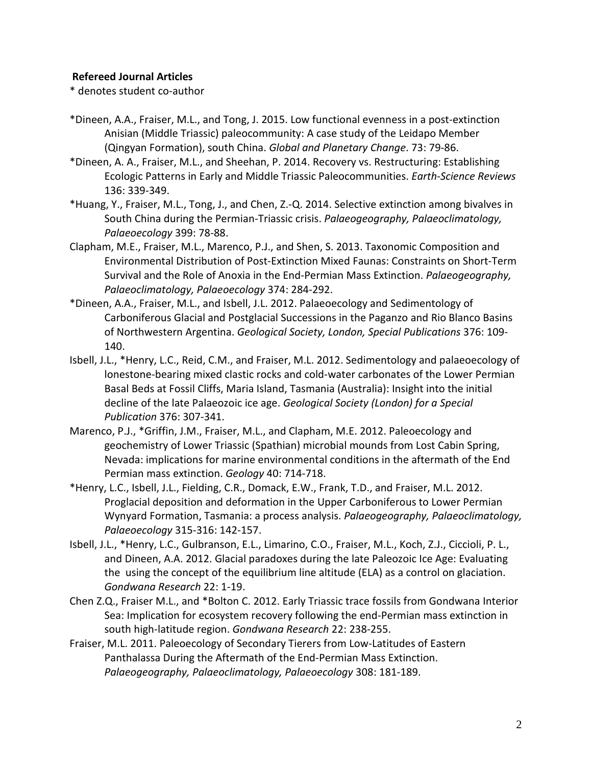### **Refereed Journal Articles**

\* denotes student co-author

- \*Dineen, A.A., Fraiser, M.L., and Tong, J. 2015. Low functional evenness in a post-extinction Anisian (Middle Triassic) paleocommunity: A case study of the Leidapo Member (Qingyan Formation), south China. *Global and Planetary Change*. 73: 79-86.
- \*Dineen, A. A., Fraiser, M.L., and Sheehan, P. 2014. Recovery vs. Restructuring: Establishing Ecologic Patterns in Early and Middle Triassic Paleocommunities. *Earth-Science Reviews* 136: 339-349.
- \*Huang, Y., Fraiser, M.L., Tong, J., and Chen, Z.-Q. 2014. Selective extinction among bivalves in South China during the Permian-Triassic crisis. *Palaeogeography, Palaeoclimatology, Palaeoecology* 399: 78-88.
- Clapham, M.E., Fraiser, M.L., Marenco, P.J., and Shen, S. 2013. Taxonomic Composition and Environmental Distribution of Post-Extinction Mixed Faunas: Constraints on Short-Term Survival and the Role of Anoxia in the End-Permian Mass Extinction. *Palaeogeography, Palaeoclimatology, Palaeoecology* 374: 284-292.
- \*Dineen, A.A., Fraiser, M.L., and Isbell, J.L. 2012. Palaeoecology and Sedimentology of Carboniferous Glacial and Postglacial Successions in the Paganzo and Rio Blanco Basins of Northwestern Argentina. *Geological Society, London, Special Publications* 376: 109- 140.
- Isbell, J.L., \*Henry, L.C., Reid, C.M., and Fraiser, M.L. 2012. Sedimentology and palaeoecology of lonestone-bearing mixed clastic rocks and cold-water carbonates of the Lower Permian Basal Beds at Fossil Cliffs, Maria Island, Tasmania (Australia): Insight into the initial decline of the late Palaeozoic ice age. *Geological Society (London) for a Special Publication* 376: 307-341.
- Marenco, P.J., \*Griffin, J.M., Fraiser, M.L., and Clapham, M.E. 2012. Paleoecology and geochemistry of Lower Triassic (Spathian) microbial mounds from Lost Cabin Spring, Nevada: implications for marine environmental conditions in the aftermath of the End Permian mass extinction. *Geology* 40: 714-718.
- \*Henry, L.C., Isbell, J.L., Fielding, C.R., Domack, E.W., Frank, T.D., and Fraiser, M.L. 2012. Proglacial deposition and deformation in the Upper Carboniferous to Lower Permian Wynyard Formation, Tasmania: a process analysis. *Palaeogeography, Palaeoclimatology, Palaeoecology* 315-316: 142-157.
- Isbell, J.L., \*Henry, L.C., Gulbranson, E.L., Limarino, C.O., Fraiser, M.L., Koch, Z.J., Ciccioli, P. L., and Dineen, A.A. 2012. Glacial paradoxes during the late Paleozoic Ice Age: Evaluating the using the concept of the equilibrium line altitude (ELA) as a control on glaciation. *Gondwana Research* 22: 1-19.
- Chen Z.Q., Fraiser M.L., and \*Bolton C. 2012. Early Triassic trace fossils from Gondwana Interior Sea: Implication for ecosystem recovery following the end-Permian mass extinction in south high-latitude region. *Gondwana Research* 22: 238-255.
- Fraiser, M.L. 2011. Paleoecology of Secondary Tierers from Low-Latitudes of Eastern Panthalassa During the Aftermath of the End-Permian Mass Extinction. *Palaeogeography, Palaeoclimatology, Palaeoecology* 308: 181-189.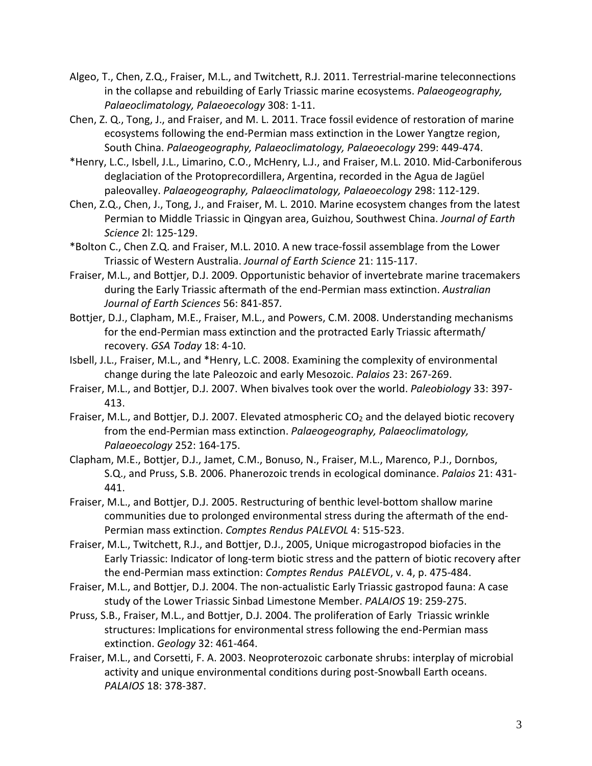- Algeo, T., Chen, Z.Q., Fraiser, M.L., and Twitchett, R.J. 2011. Terrestrial-marine teleconnections in the collapse and rebuilding of Early Triassic marine ecosystems. *Palaeogeography, Palaeoclimatology, Palaeoecology* 308: 1-11.
- Chen, Z. Q., Tong, J., and Fraiser, and M. L. 2011. Trace fossil evidence of restoration of marine ecosystems following the end-Permian mass extinction in the Lower Yangtze region, South China. *Palaeogeography, Palaeoclimatology, Palaeoecology* 299: 449-474.
- \*Henry, L.C., Isbell, J.L., Limarino, C.O., McHenry, L.J., and Fraiser, M.L. 2010. Mid-Carboniferous deglaciation of the Protoprecordillera, Argentina, recorded in the Agua de Jagüel paleovalley. *Palaeogeography, Palaeoclimatology, Palaeoecology* 298: 112-129.
- Chen, Z.Q., Chen, J., Tong, J., and Fraiser, M. L. 2010. Marine ecosystem changes from the latest Permian to Middle Triassic in Qingyan area, Guizhou, Southwest China. *[Journal of Earth](http://link.springer.com/journal/12583)  [Science](http://link.springer.com/journal/12583)* 2l: 125-129.
- \*Bolton C., Chen Z.Q. and Fraiser, M.L. 2010. A new trace-fossil assemblage from the Lower Triassic of Western Australia. *Journal of Earth Science* 21: 115-117.
- Fraiser, M.L., and Bottjer, D.J. 2009. Opportunistic behavior of invertebrate marine tracemakers during the Early Triassic aftermath of the end-Permian mass extinction. *Australian Journal of Earth Sciences* 56: 841-857*.*
- Bottjer, D.J., Clapham, M.E., Fraiser, M.L., and Powers, C.M. 2008. Understanding mechanisms for the end-Permian mass extinction and the protracted Early Triassic aftermath/ recovery. *GSA Today* 18: 4-10.
- Isbell, J.L., Fraiser, M.L., and \*Henry, L.C. 2008. Examining the complexity of environmental change during the late Paleozoic and early Mesozoic. *Palaios* 23: 267-269.
- Fraiser, M.L., and Bottjer, D.J. 2007. When bivalves took over the world. *Paleobiology* 33: 397- 413.
- Fraiser, M.L., and Bottjer, D.J. 2007. Elevated atmospheric  $CO<sub>2</sub>$  and the delayed biotic recovery from the end-Permian mass extinction. *Palaeogeography, Palaeoclimatology, Palaeoecology* 252: 164-175.
- Clapham, M.E., Bottjer, D.J., Jamet, C.M., Bonuso, N., Fraiser, M.L., Marenco, P.J., Dornbos, S.Q., and Pruss, S.B. 2006. Phanerozoic trends in ecological dominance. *Palaios* 21: 431- 441.
- Fraiser, M.L., and Bottjer, D.J. 2005. Restructuring of benthic level-bottom shallow marine communities due to prolonged environmental stress during the aftermath of the end-Permian mass extinction. *Comptes Rendus PALEVOL* 4: 515-523.
- Fraiser, M.L., Twitchett, R.J., and Bottjer, D.J., 2005, Unique microgastropod biofacies in the Early Triassic: Indicator of long-term biotic stress and the pattern of biotic recovery after the end-Permian mass extinction: *Comptes Rendus PALEVOL*, v. 4, p. 475-484.
- Fraiser, M.L., and Bottjer, D.J. 2004. The non-actualistic Early Triassic gastropod fauna: A case study of the Lower Triassic Sinbad Limestone Member. *PALAIOS* 19: 259-275.
- Pruss, S.B., Fraiser, M.L., and Bottjer, D.J. 2004. The proliferation of Early Triassic wrinkle structures: Implications for environmental stress following the end-Permian mass extinction. *Geology* 32: 461-464.
- Fraiser, M.L., and Corsetti, F. A. 2003. Neoproterozoic carbonate shrubs: interplay of microbial activity and unique environmental conditions during post-Snowball Earth oceans. *PALAIOS* 18: 378-387.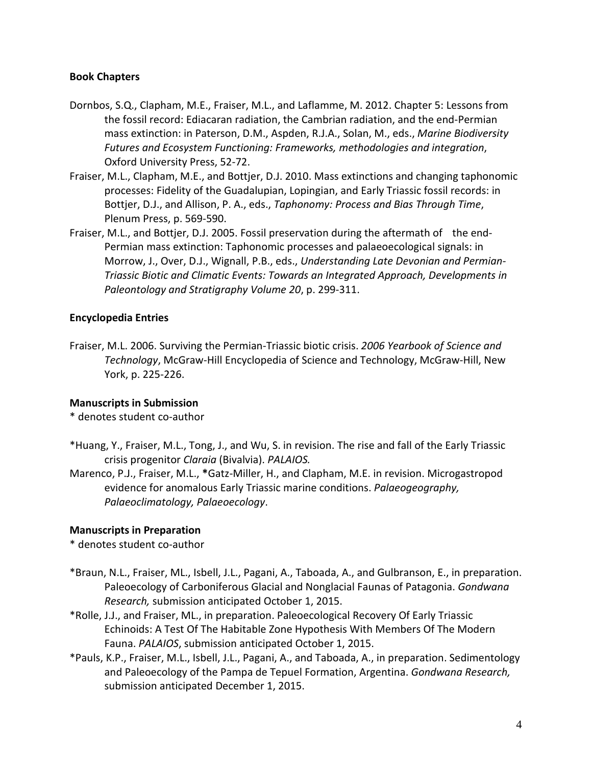### **Book Chapters**

- Dornbos, S.Q., Clapham, M.E., Fraiser, M.L., and Laflamme, M. 2012. Chapter 5: Lessons from the fossil record: Ediacaran radiation, the Cambrian radiation, and the end-Permian mass extinction: in Paterson, D.M., Aspden, R.J.A., Solan, M., eds., *Marine Biodiversity Futures and Ecosystem Functioning: Frameworks, methodologies and integration*, Oxford University Press, 52-72.
- Fraiser, M.L., Clapham, M.E., and Bottjer, D.J. 2010. Mass extinctions and changing taphonomic processes: Fidelity of the Guadalupian, Lopingian, and Early Triassic fossil records: in Bottjer, D.J., and Allison, P. A., eds., *Taphonomy: Process and Bias Through Time*, Plenum Press, p. 569-590.
- Fraiser, M.L., and Bottjer, D.J. 2005. Fossil preservation during the aftermath of the end-Permian mass extinction: Taphonomic processes and palaeoecological signals: in Morrow, J., Over, D.J., Wignall, P.B., eds., *Understanding Late Devonian and Permian-Triassic Biotic and Climatic Events: Towards an Integrated Approach, Developments in Paleontology and Stratigraphy Volume 20*, p. 299-311.

### **Encyclopedia Entries**

Fraiser, M.L. 2006. Surviving the Permian-Triassic biotic crisis. *2006 Yearbook of Science and Technology*, McGraw-Hill Encyclopedia of Science and Technology, McGraw-Hill, New York, p. 225-226.

#### **Manuscripts in Submission**

\* denotes student co-author

- \*Huang, Y., Fraiser, M.L., Tong, J., and Wu, S. in revision. The rise and fall of the Early Triassic crisis progenitor *Claraia* (Bivalvia). *PALAIOS.*
- Marenco, P.J., Fraiser, M.L., **\***Gatz-Miller, H., and Clapham, M.E. in revision. Microgastropod evidence for anomalous Early Triassic marine conditions. *Palaeogeography, Palaeoclimatology, Palaeoecology*.

## **Manuscripts in Preparation**

\* denotes student co-author

- \*Braun, N.L., Fraiser, ML., Isbell, J.L., Pagani, A., Taboada, A., and Gulbranson, E., in preparation. Paleoecology of Carboniferous Glacial and Nonglacial Faunas of Patagonia. *Gondwana Research,* submission anticipated October 1, 2015.
- \*Rolle, J.J., and Fraiser, ML., in preparation. Paleoecological Recovery Of Early Triassic Echinoids: A Test Of The Habitable Zone Hypothesis With Members Of The Modern Fauna. *PALAIOS*, submission anticipated October 1, 2015.
- \*Pauls, K.P., Fraiser, M.L., Isbell, J.L., Pagani, A., and Taboada, A., in preparation. Sedimentology and Paleoecology of the Pampa de Tepuel Formation, Argentina. *Gondwana Research,* submission anticipated December 1, 2015.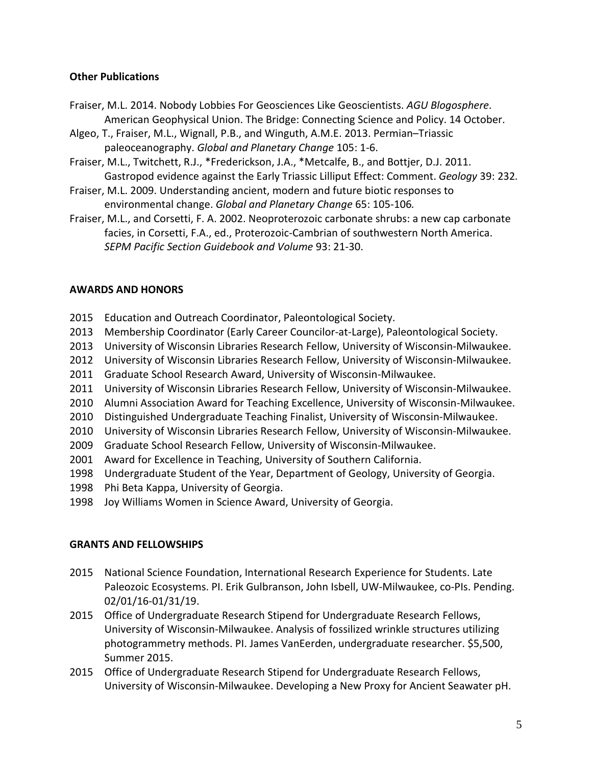### **Other Publications**

- Fraiser, M.L. 2014. Nobody Lobbies For Geosciences Like [Geoscientists.](http://thebridge.agu.org/2014/10/01/nobody-lobbies-geosciences-like-geoscientists/) *AGU Blogosphere*. American Geophysical Union. The Bridge: Connecting Science and Policy. 14 October.
- Algeo, T., Fraiser, M.L., Wignall, P.B., and Winguth, A.M.E. 2013. Permian–Triassic paleoceanography. *Global and Planetary Change* 105: 1-6.
- Fraiser, M.L., Twitchett, R.J., \*Frederickson, J.A., \*Metcalfe, B., and Bottjer, D.J. 2011. Gastropod evidence against the Early Triassic Lilliput Effect: Comment. *Geology* 39: 232*.*
- Fraiser, M.L. 2009. Understanding ancient, modern and future biotic responses to environmental change. *Global and Planetary Change* 65: 105-106*.*
- Fraiser, M.L., and Corsetti, F. A. 2002. Neoproterozoic carbonate shrubs: a new cap carbonate facies, in Corsetti, F.A., ed., Proterozoic-Cambrian of southwestern North America. *SEPM Pacific Section Guidebook and Volume* 93: 21-30.

### **AWARDS AND HONORS**

- 2015 Education and Outreach Coordinator, Paleontological Society.
- 2013 Membership Coordinator (Early Career Councilor-at-Large), Paleontological Society.
- 2013 University of Wisconsin Libraries Research Fellow, University of Wisconsin-Milwaukee.
- 2012 University of Wisconsin Libraries Research Fellow, University of Wisconsin-Milwaukee.
- 2011 Graduate School Research Award, University of Wisconsin-Milwaukee.
- 2011 University of Wisconsin Libraries Research Fellow, University of Wisconsin-Milwaukee.
- 2010 Alumni Association Award for Teaching Excellence, University of Wisconsin-Milwaukee.
- 2010 Distinguished Undergraduate Teaching Finalist, University of Wisconsin-Milwaukee.
- 2010 University of Wisconsin Libraries Research Fellow, University of Wisconsin-Milwaukee.
- 2009 Graduate School Research Fellow, University of Wisconsin-Milwaukee.
- 2001 Award for Excellence in Teaching, University of Southern California.
- 1998 Undergraduate Student of the Year, Department of Geology, University of Georgia.
- 1998 Phi Beta Kappa, University of Georgia.
- 1998 Joy Williams Women in Science Award, University of Georgia.

## **GRANTS AND FELLOWSHIPS**

- 2015 National Science Foundation, International Research Experience for Students. Late Paleozoic Ecosystems. PI. Erik Gulbranson, John Isbell, UW-Milwaukee, co-PIs. Pending. 02/01/16-01/31/19.
- 2015 Office of Undergraduate Research Stipend for Undergraduate Research Fellows, University of Wisconsin-Milwaukee. Analysis of fossilized wrinkle structures utilizing photogrammetry methods. PI. James VanEerden, undergraduate researcher. \$5,500, Summer 2015.
- 2015 Office of Undergraduate Research Stipend for Undergraduate Research Fellows, University of Wisconsin-Milwaukee. Developing a New Proxy for Ancient Seawater pH.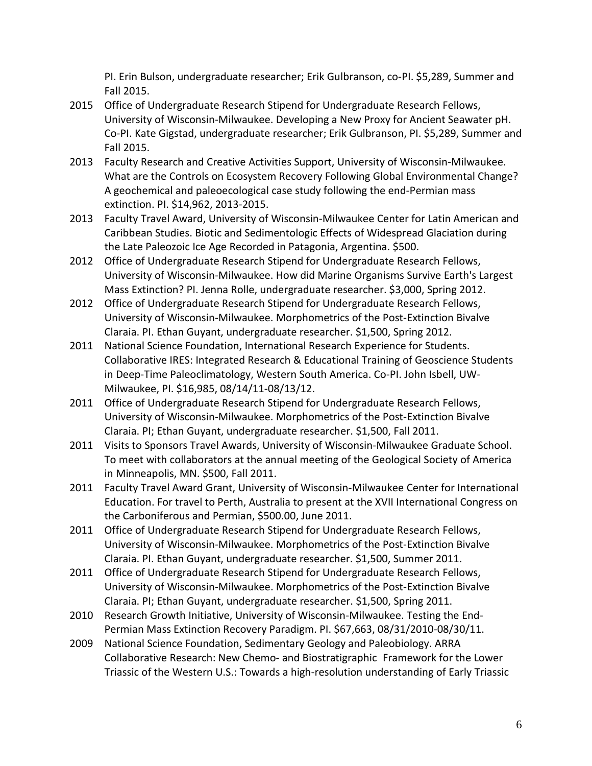PI. Erin Bulson, undergraduate researcher; Erik Gulbranson, co-PI. \$5,289, Summer and Fall 2015.

- 2015 Office of Undergraduate Research Stipend for Undergraduate Research Fellows, University of Wisconsin-Milwaukee. Developing a New Proxy for Ancient Seawater pH. Co-PI. Kate Gigstad, undergraduate researcher; Erik Gulbranson, PI. \$5,289, Summer and Fall 2015.
- 2013 Faculty Research and Creative Activities Support, University of Wisconsin-Milwaukee. What are the Controls on Ecosystem Recovery Following Global Environmental Change? A geochemical and paleoecological case study following the end-Permian mass extinction. PI. \$14,962, 2013-2015.
- 2013 Faculty Travel Award, University of Wisconsin-Milwaukee Center for Latin American and Caribbean Studies. Biotic and Sedimentologic Effects of Widespread Glaciation during the Late Paleozoic Ice Age Recorded in Patagonia, Argentina. \$500.
- 2012 Office of Undergraduate Research Stipend for Undergraduate Research Fellows, University of Wisconsin-Milwaukee. How did Marine Organisms Survive Earth's Largest Mass Extinction? PI. Jenna Rolle, undergraduate researcher. \$3,000, Spring 2012.
- 2012 Office of Undergraduate Research Stipend for Undergraduate Research Fellows, University of Wisconsin-Milwaukee. Morphometrics of the Post-Extinction Bivalve Claraia. PI. Ethan Guyant, undergraduate researcher. \$1,500, Spring 2012.
- 2011 National Science Foundation, International Research Experience for Students. Collaborative IRES: Integrated Research & Educational Training of Geoscience Students in Deep-Time Paleoclimatology, Western South America. Co-PI. John Isbell, UW-Milwaukee, PI. \$16,985, 08/14/11-08/13/12.
- 2011 Office of Undergraduate Research Stipend for Undergraduate Research Fellows, University of Wisconsin-Milwaukee. Morphometrics of the Post-Extinction Bivalve Claraia. PI; Ethan Guyant, undergraduate researcher. \$1,500, Fall 2011.
- 2011 Visits to Sponsors Travel Awards, University of Wisconsin-Milwaukee Graduate School. To meet with collaborators at the annual meeting of the Geological Society of America in Minneapolis, MN. \$500, Fall 2011.
- 2011 Faculty Travel Award Grant, University of Wisconsin-Milwaukee Center for International Education. For travel to Perth, Australia to present at the XVII International Congress on the Carboniferous and Permian, \$500.00, June 2011.
- 2011 Office of Undergraduate Research Stipend for Undergraduate Research Fellows, University of Wisconsin-Milwaukee. Morphometrics of the Post-Extinction Bivalve Claraia. PI. Ethan Guyant, undergraduate researcher. \$1,500, Summer 2011.
- 2011 Office of Undergraduate Research Stipend for Undergraduate Research Fellows, University of Wisconsin-Milwaukee. Morphometrics of the Post-Extinction Bivalve Claraia. PI; Ethan Guyant, undergraduate researcher. \$1,500, Spring 2011.
- 2010 Research Growth Initiative, University of Wisconsin-Milwaukee. Testing the End-Permian Mass Extinction Recovery Paradigm. PI. \$67,663, 08/31/2010-08/30/11.
- 2009 National Science Foundation, Sedimentary Geology and Paleobiology. ARRA Collaborative Research: New Chemo- and Biostratigraphic Framework for the Lower Triassic of the Western U.S.: Towards a high-resolution understanding of Early Triassic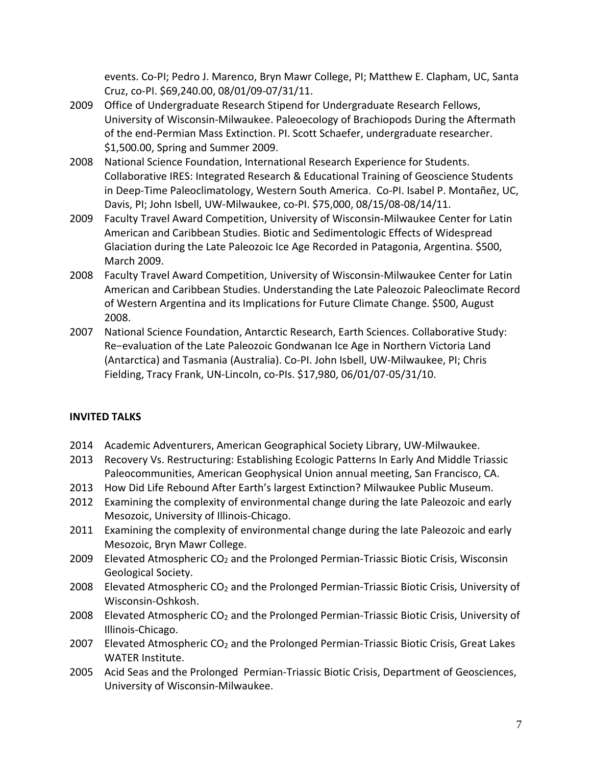events. Co-PI; Pedro J. Marenco, Bryn Mawr College, PI; Matthew E. Clapham, UC, Santa Cruz, co-PI. \$69,240.00, 08/01/09-07/31/11.

- 2009 Office of Undergraduate Research Stipend for Undergraduate Research Fellows, University of Wisconsin-Milwaukee. Paleoecology of Brachiopods During the Aftermath of the end-Permian Mass Extinction. PI. Scott Schaefer, undergraduate researcher. \$1,500.00, Spring and Summer 2009.
- 2008 National Science Foundation, International Research Experience for Students. Collaborative IRES: Integrated Research & Educational Training of Geoscience Students in Deep-Time Paleoclimatology, Western South America. Co-PI. Isabel P. Montañez, UC, Davis, PI; John Isbell, UW-Milwaukee, co-PI. \$75,000, 08/15/08-08/14/11.
- 2009 Faculty Travel Award Competition, University of Wisconsin-Milwaukee Center for Latin American and Caribbean Studies. Biotic and Sedimentologic Effects of Widespread Glaciation during the Late Paleozoic Ice Age Recorded in Patagonia, Argentina. \$500, March 2009.
- 2008 Faculty Travel Award Competition, University of Wisconsin-Milwaukee Center for Latin American and Caribbean Studies. Understanding the Late Paleozoic Paleoclimate Record of Western Argentina and its Implications for Future Climate Change. \$500, August 2008.
- 2007 National Science Foundation, Antarctic Research, Earth Sciences. Collaborative Study: Re−evaluation of the Late Paleozoic Gondwanan Ice Age in Northern Victoria Land (Antarctica) and Tasmania (Australia). Co-PI. John Isbell, UW-Milwaukee, PI; Chris Fielding, Tracy Frank, UN-Lincoln, co-PIs. \$17,980, 06/01/07-05/31/10.

# **INVITED TALKS**

- 2014 Academic Adventurers, American Geographical Society Library, UW-Milwaukee.
- 2013 Recovery Vs. Restructuring: Establishing Ecologic Patterns In Early And Middle Triassic Paleocommunities, American Geophysical Union annual meeting, San Francisco, CA.
- 2013 How Did Life Rebound After Earth's largest Extinction? Milwaukee Public Museum.
- 2012 Examining the complexity of environmental change during the late Paleozoic and early Mesozoic, University of Illinois-Chicago.
- 2011 Examining the complexity of environmental change during the late Paleozoic and early Mesozoic, Bryn Mawr College.
- 2009 Elevated Atmospheric CO<sub>2</sub> and the Prolonged Permian-Triassic Biotic Crisis, Wisconsin Geological Society.
- 2008 Elevated Atmospheric  $CO<sub>2</sub>$  and the Prolonged Permian-Triassic Biotic Crisis, University of Wisconsin-Oshkosh.
- 2008 Elevated Atmospheric  $CO<sub>2</sub>$  and the Prolonged Permian-Triassic Biotic Crisis, University of Illinois-Chicago.
- 2007 Elevated Atmospheric CO<sub>2</sub> and the Prolonged Permian-Triassic Biotic Crisis, Great Lakes WATER Institute.
- 2005 Acid Seas and the Prolonged Permian-Triassic Biotic Crisis, Department of Geosciences, University of Wisconsin-Milwaukee.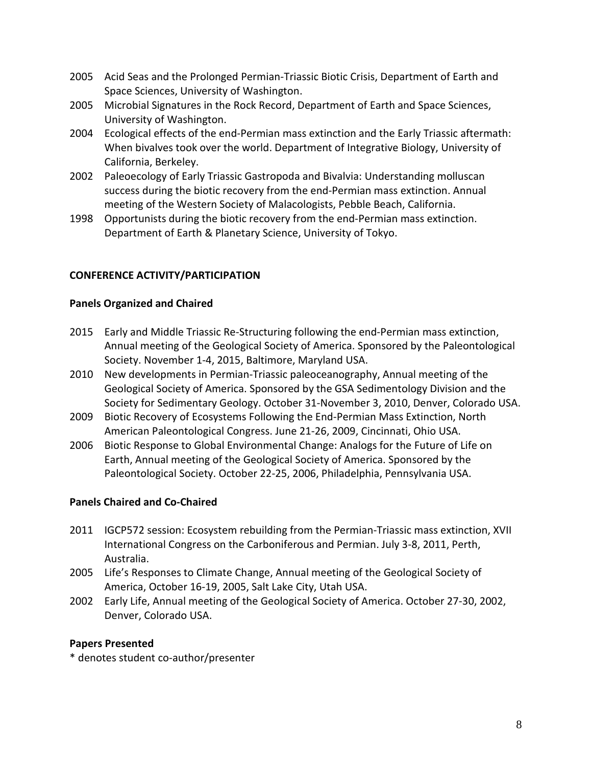- 2005 Acid Seas and the Prolonged Permian-Triassic Biotic Crisis, Department of Earth and Space Sciences, University of Washington.
- 2005 Microbial Signatures in the Rock Record, Department of Earth and Space Sciences, University of Washington.
- 2004 Ecological effects of the end-Permian mass extinction and the Early Triassic aftermath: When bivalves took over the world. Department of Integrative Biology, University of California, Berkeley.
- 2002 Paleoecology of Early Triassic Gastropoda and Bivalvia: Understanding molluscan success during the biotic recovery from the end-Permian mass extinction. Annual meeting of the Western Society of Malacologists, Pebble Beach, California.
- 1998 Opportunists during the biotic recovery from the end-Permian mass extinction. Department of Earth & Planetary Science, University of Tokyo.

## **CONFERENCE ACTIVITY/PARTICIPATION**

### **Panels Organized and Chaired**

- 2015 Early and Middle Triassic Re-Structuring following the end-Permian mass extinction, Annual meeting of the Geological Society of America. Sponsored by the Paleontological Society. November 1-4, 2015, Baltimore, Maryland USA.
- 2010 New developments in Permian-Triassic paleoceanography, Annual meeting of the Geological Society of America. Sponsored by the GSA Sedimentology Division and the Society for Sedimentary Geology. October 31-November 3, 2010, Denver, Colorado USA.
- 2009 Biotic Recovery of Ecosystems Following the End-Permian Mass Extinction, North American Paleontological Congress. June 21-26, 2009, Cincinnati, Ohio USA.
- 2006 Biotic Response to Global Environmental Change: Analogs for the Future of Life on Earth, Annual meeting of the Geological Society of America. Sponsored by the Paleontological Society. October 22-25, 2006, Philadelphia, Pennsylvania USA.

## **Panels Chaired and Co-Chaired**

- 2011 IGCP572 session: Ecosystem rebuilding from the Permian-Triassic mass extinction, XVII International Congress on the Carboniferous and Permian. July 3-8, 2011, Perth, Australia.
- 2005 Life's Responses to Climate Change, Annual meeting of the Geological Society of America, October 16-19, 2005, Salt Lake City, Utah USA.
- 2002 Early Life, Annual meeting of the Geological Society of America. October 27-30, 2002, Denver, Colorado USA.

#### **Papers Presented**

\* denotes student co-author/presenter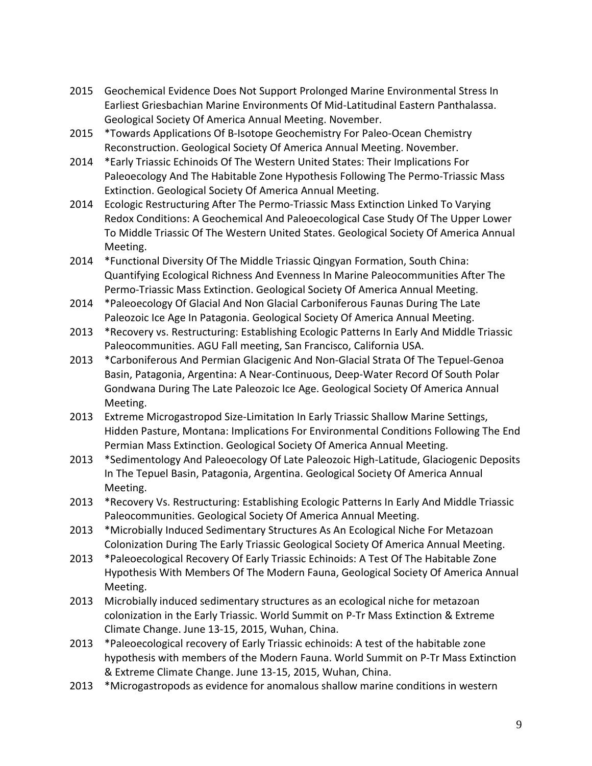- 2015 Geochemical Evidence Does Not Support Prolonged Marine Environmental Stress In Earliest Griesbachian Marine Environments Of Mid-Latitudinal Eastern Panthalassa. Geological Society Of America Annual Meeting. November.
- 2015 \*Towards Applications Of B-Isotope Geochemistry For Paleo-Ocean Chemistry Reconstruction. Geological Society Of America Annual Meeting. November.
- 2014 \*Early Triassic Echinoids Of The Western United States: Their Implications For Paleoecology And The Habitable Zone Hypothesis Following The Permo-Triassic Mass Extinction. Geological Society Of America Annual Meeting.
- 2014 Ecologic Restructuring After The Permo-Triassic Mass Extinction Linked To Varying Redox Conditions: A Geochemical And Paleoecological Case Study Of The Upper Lower To Middle Triassic Of The Western United States. Geological Society Of America Annual Meeting.
- 2014 \*Functional Diversity Of The Middle Triassic Qingyan Formation, South China: Quantifying Ecological Richness And Evenness In Marine Paleocommunities After The Permo-Triassic Mass Extinction. Geological Society Of America Annual Meeting.
- 2014 \*Paleoecology Of Glacial And Non Glacial Carboniferous Faunas During The Late Paleozoic Ice Age In Patagonia. Geological Society Of America Annual Meeting.
- 2013 \*Recovery vs. Restructuring: Establishing Ecologic Patterns In Early And Middle Triassic Paleocommunities. AGU Fall meeting, San Francisco, California USA.
- 2013 \*Carboniferous And Permian Glacigenic And Non-Glacial Strata Of The Tepuel-Genoa Basin, Patagonia, Argentina: A Near-Continuous, Deep-Water Record Of South Polar Gondwana During The Late Paleozoic Ice Age. Geological Society Of America Annual Meeting.
- 2013 Extreme Microgastropod Size-Limitation In Early Triassic Shallow Marine Settings, Hidden Pasture, Montana: Implications For Environmental Conditions Following The End Permian Mass Extinction. Geological Society Of America Annual Meeting.
- 2013 \*Sedimentology And Paleoecology Of Late Paleozoic High-Latitude, Glaciogenic Deposits In The Tepuel Basin, Patagonia, Argentina. Geological Society Of America Annual Meeting.
- 2013 \*Recovery Vs. Restructuring: Establishing Ecologic Patterns In Early And Middle Triassic Paleocommunities. Geological Society Of America Annual Meeting.
- 2013 \*Microbially Induced Sedimentary Structures As An Ecological Niche For Metazoan Colonization During The Early Triassic Geological Society Of America Annual Meeting.
- 2013 \*Paleoecological Recovery Of Early Triassic Echinoids: A Test Of The Habitable Zone Hypothesis With Members Of The Modern Fauna, Geological Society Of America Annual Meeting.
- 2013 Microbially induced sedimentary structures as an ecological niche for metazoan colonization in the Early Triassic. World Summit on P-Tr Mass Extinction & Extreme Climate Change. June 13-15, 2015, Wuhan, China.
- 2013 \*Paleoecological recovery of Early Triassic echinoids: A test of the habitable zone hypothesis with members of the Modern Fauna. World Summit on P-Tr Mass Extinction & Extreme Climate Change. June 13-15, 2015, Wuhan, China.
- 2013 \*Microgastropods as evidence for anomalous shallow marine conditions in western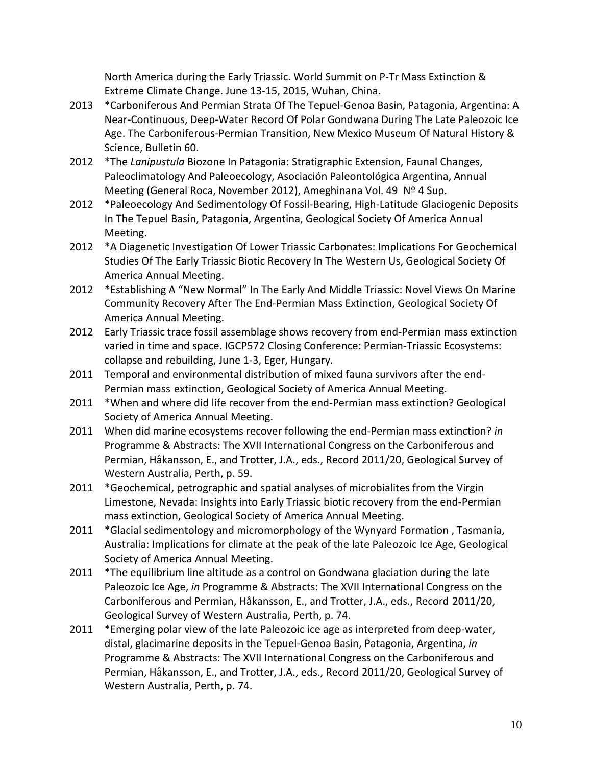North America during the Early Triassic. World Summit on P-Tr Mass Extinction & Extreme Climate Change. June 13-15, 2015, Wuhan, China.

- 2013 \*Carboniferous And Permian Strata Of The Tepuel-Genoa Basin, Patagonia, Argentina: A Near-Continuous, Deep-Water Record Of Polar Gondwana During The Late Paleozoic Ice Age. The Carboniferous-Permian Transition, New Mexico Museum Of Natural History & Science, Bulletin 60.
- 2012 \*The *Lanipustula* Biozone In Patagonia: Stratigraphic Extension, Faunal Changes, Paleoclimatology And Paleoecology, Asociación Paleontológica Argentina, Annual Meeting (General Roca, November 2012), Ameghinana Vol. 49 Nº 4 Sup.
- 2012 \*Paleoecology And Sedimentology Of Fossil-Bearing, High-Latitude Glaciogenic Deposits In The Tepuel Basin, Patagonia, Argentina, Geological Society Of America Annual Meeting.
- 2012 \*A Diagenetic Investigation Of Lower Triassic Carbonates: Implications For Geochemical Studies Of The Early Triassic Biotic Recovery In The Western Us, Geological Society Of America Annual Meeting.
- 2012 \*Establishing A "New Normal" In The Early And Middle Triassic: Novel Views On Marine Community Recovery After The End-Permian Mass Extinction, Geological Society Of America Annual Meeting.
- 2012 Early Triassic trace fossil assemblage shows recovery from end-Permian mass extinction varied in time and space. IGCP572 Closing Conference: Permian-Triassic Ecosystems: collapse and rebuilding, June 1-3, Eger, Hungary.
- 2011 Temporal and environmental distribution of mixed fauna survivors after the end-Permian mass extinction, Geological Society of America Annual Meeting.
- 2011 \*When and where did life recover from the end-Permian mass extinction? Geological Society of America Annual Meeting.
- 2011 When did marine ecosystems recover following the end-Permian mass extinction? *in*  Programme & Abstracts: The XVII International Congress on the Carboniferous and Permian, Håkansson, E., and Trotter, J.A., eds., Record 2011/20, Geological Survey of Western Australia, Perth, p. 59.
- 2011 \*Geochemical, petrographic and spatial analyses of microbialites from the Virgin Limestone, Nevada: Insights into Early Triassic biotic recovery from the end-Permian mass extinction, Geological Society of America Annual Meeting.
- 2011 \*Glacial sedimentology and micromorphology of the Wynyard Formation , Tasmania, Australia: Implications for climate at the peak of the late Paleozoic Ice Age, Geological Society of America Annual Meeting.
- 2011 \*The equilibrium line altitude as a control on Gondwana glaciation during the late Paleozoic Ice Age, *in* Programme & Abstracts: The XVII International Congress on the Carboniferous and Permian, Håkansson, E., and Trotter, J.A., eds., Record 2011/20, Geological Survey of Western Australia, Perth, p. 74.
- 2011 \*Emerging polar view of the late Paleozoic ice age as interpreted from deep-water, distal, glacimarine deposits in the Tepuel-Genoa Basin, Patagonia, Argentina, *in*  Programme & Abstracts: The XVII International Congress on the Carboniferous and Permian, Håkansson, E., and Trotter, J.A., eds., Record 2011/20, Geological Survey of Western Australia, Perth, p. 74.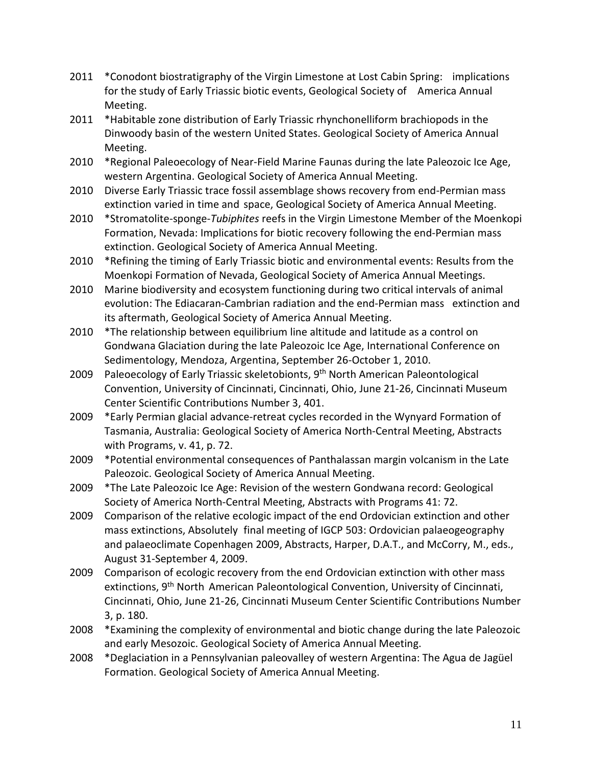- 2011 \*Conodont biostratigraphy of the Virgin Limestone at Lost Cabin Spring: implications for the study of Early Triassic biotic events, Geological Society of America Annual Meeting.
- 2011 \*Habitable zone distribution of Early Triassic rhynchonelliform brachiopods in the Dinwoody basin of the western United States. Geological Society of America Annual Meeting.
- 2010 \*Regional Paleoecology of Near-Field Marine Faunas during the late Paleozoic Ice Age, western Argentina. Geological Society of America Annual Meeting.
- 2010 Diverse Early Triassic trace fossil assemblage shows recovery from end-Permian mass extinction varied in time and space, Geological Society of America Annual Meeting.
- 2010 \*Stromatolite-sponge-*Tubiphites* reefs in the Virgin Limestone Member of the Moenkopi Formation, Nevada: Implications for biotic recovery following the end-Permian mass extinction. Geological Society of America Annual Meeting.
- 2010 \*Refining the timing of Early Triassic biotic and environmental events: Results from the Moenkopi Formation of Nevada, Geological Society of America Annual Meetings.
- 2010 Marine biodiversity and ecosystem functioning during two critical intervals of animal evolution: The Ediacaran-Cambrian radiation and the end-Permian mass extinction and its aftermath, Geological Society of America Annual Meeting.
- 2010 \*The relationship between equilibrium line altitude and latitude as a control on Gondwana Glaciation during the late Paleozoic Ice Age, International Conference on Sedimentology, Mendoza, Argentina, September 26-October 1, 2010.
- 2009 Paleoecology of Early Triassic skeletobionts, 9<sup>th</sup> North American Paleontological Convention, University of Cincinnati, Cincinnati, Ohio, June 21-26, Cincinnati Museum Center Scientific Contributions Number 3, 401.
- 2009 \*Early Permian glacial advance-retreat cycles recorded in the Wynyard Formation of Tasmania, Australia: Geological Society of America North-Central Meeting, Abstracts with Programs, v. 41, p. 72.
- 2009 \*Potential environmental consequences of Panthalassan margin volcanism in the Late Paleozoic. Geological Society of America Annual Meeting.
- 2009 \*The Late Paleozoic Ice Age: Revision of the western Gondwana record: Geological Society of America North-Central Meeting, Abstracts with Programs 41: 72.
- 2009 Comparison of the relative ecologic impact of the end Ordovician extinction and other mass extinctions, Absolutely final meeting of IGCP 503: Ordovician palaeogeography and palaeoclimate Copenhagen 2009, Abstracts, Harper, D.A.T., and McCorry, M., eds., August 31-September 4, 2009.
- 2009 Comparison of ecologic recovery from the end Ordovician extinction with other mass extinctions, 9<sup>th</sup> North American Paleontological Convention, University of Cincinnati, Cincinnati, Ohio, June 21-26, Cincinnati Museum Center Scientific Contributions Number 3, p. 180.
- 2008 \*Examining the complexity of environmental and biotic change during the late Paleozoic and early Mesozoic. Geological Society of America Annual Meeting.
- 2008 \*Deglaciation in a Pennsylvanian paleovalley of western Argentina: The Agua de Jagüel Formation. Geological Society of America Annual Meeting.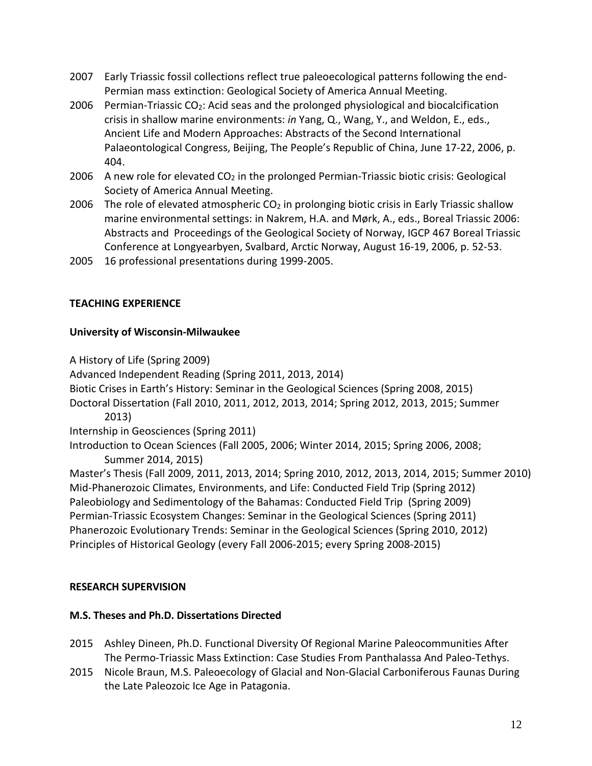- 2007 Early Triassic fossil collections reflect true paleoecological patterns following the end-Permian mass extinction: Geological Society of America Annual Meeting.
- 2006 Permian-Triassic CO2: Acid seas and the prolonged physiological and biocalcification crisis in shallow marine environments: *in* Yang, Q., Wang, Y., and Weldon, E., eds., Ancient Life and Modern Approaches: Abstracts of the Second International Palaeontological Congress, Beijing, The People's Republic of China, June 17-22, 2006, p. 404.
- 2006 A new role for elevated  $CO<sub>2</sub>$  in the prolonged Permian-Triassic biotic crisis: Geological Society of America Annual Meeting.
- 2006 The role of elevated atmospheric  $CO<sub>2</sub>$  in prolonging biotic crisis in Early Triassic shallow marine environmental settings: in Nakrem, H.A. and Mørk, A., eds., Boreal Triassic 2006: Abstracts and Proceedings of the Geological Society of Norway, IGCP 467 Boreal Triassic Conference at Longyearbyen, Svalbard, Arctic Norway, August 16-19, 2006, p. 52-53.
- 2005 16 professional presentations during 1999-2005.

## **TEACHING EXPERIENCE**

## **University of Wisconsin-Milwaukee**

A History of Life (Spring 2009) Advanced Independent Reading (Spring 2011, 2013, 2014) Biotic Crises in Earth's History: Seminar in the Geological Sciences (Spring 2008, 2015) Doctoral Dissertation (Fall 2010, 2011, 2012, 2013, 2014; Spring 2012, 2013, 2015; Summer 2013) Internship in Geosciences (Spring 2011) Introduction to Ocean Sciences (Fall 2005, 2006; Winter 2014, 2015; Spring 2006, 2008; Summer 2014, 2015) Master's Thesis (Fall 2009, 2011, 2013, 2014; Spring 2010, 2012, 2013, 2014, 2015; Summer 2010) Mid-Phanerozoic Climates, Environments, and Life: Conducted Field Trip (Spring 2012) Paleobiology and Sedimentology of the Bahamas: Conducted Field Trip (Spring 2009) Permian-Triassic Ecosystem Changes: Seminar in the Geological Sciences (Spring 2011) Phanerozoic Evolutionary Trends: Seminar in the Geological Sciences (Spring 2010, 2012) Principles of Historical Geology (every Fall 2006-2015; every Spring 2008-2015)

## **RESEARCH SUPERVISION**

## **M.S. Theses and Ph.D. Dissertations Directed**

- 2015 Ashley Dineen, Ph.D. Functional Diversity Of Regional Marine Paleocommunities After The Permo-Triassic Mass Extinction: Case Studies From Panthalassa And Paleo-Tethys.
- 2015 Nicole Braun, M.S. Paleoecology of Glacial and Non-Glacial Carboniferous Faunas During the Late Paleozoic Ice Age in Patagonia.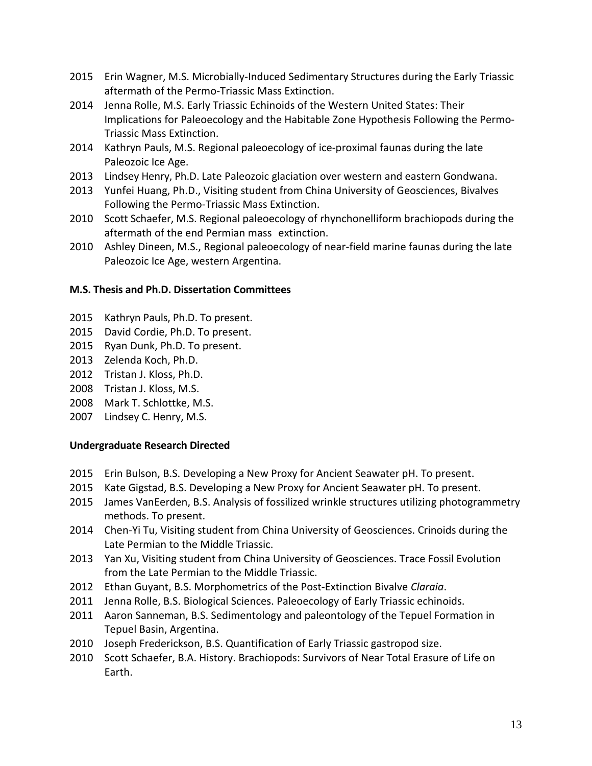- 2015 Erin Wagner, M.S. Microbially-Induced Sedimentary Structures during the Early Triassic aftermath of the Permo-Triassic Mass Extinction.
- 2014 Jenna Rolle, M.S. Early Triassic Echinoids of the Western United States: Their Implications for Paleoecology and the Habitable Zone Hypothesis Following the Permo-Triassic Mass Extinction.
- 2014 Kathryn Pauls, M.S. Regional paleoecology of ice-proximal faunas during the late Paleozoic Ice Age.
- 2013 Lindsey Henry, Ph.D. Late Paleozoic glaciation over western and eastern Gondwana.
- 2013 Yunfei Huang, Ph.D., Visiting student from China University of Geosciences, Bivalves Following the Permo-Triassic Mass Extinction.
- 2010 Scott Schaefer, M.S. Regional paleoecology of rhynchonelliform brachiopods during the aftermath of the end Permian mass extinction.
- 2010 Ashley Dineen, M.S., Regional paleoecology of near-field marine faunas during the late Paleozoic Ice Age, western Argentina.

## **M.S. Thesis and Ph.D. Dissertation Committees**

- 2015 Kathryn Pauls, Ph.D. To present.
- 2015 David Cordie, Ph.D. To present.
- 2015 Ryan Dunk, Ph.D. To present.
- 2013 Zelenda Koch, Ph.D.
- 2012 Tristan J. Kloss, Ph.D.
- 2008 Tristan J. Kloss, M.S.
- 2008 Mark T. Schlottke, M.S.
- 2007 Lindsey C. Henry, M.S.

## **Undergraduate Research Directed**

- 2015 Erin Bulson, B.S. Developing a New Proxy for Ancient Seawater pH. To present.
- 2015 Kate Gigstad, B.S. Developing a New Proxy for Ancient Seawater pH. To present.
- 2015 James VanEerden, B.S. Analysis of fossilized wrinkle structures utilizing photogrammetry methods. To present.
- 2014 Chen-Yi Tu, Visiting student from China University of Geosciences. Crinoids during the Late Permian to the Middle Triassic.
- 2013 Yan Xu, Visiting student from China University of Geosciences. Trace Fossil Evolution from the Late Permian to the Middle Triassic.
- 2012 Ethan Guyant, B.S. Morphometrics of the Post-Extinction Bivalve *Claraia*.
- 2011 Jenna Rolle, B.S. Biological Sciences. Paleoecology of Early Triassic echinoids.
- 2011 Aaron Sanneman, B.S. Sedimentology and paleontology of the Tepuel Formation in Tepuel Basin, Argentina.
- 2010 Joseph Frederickson, B.S. Quantification of Early Triassic gastropod size.
- 2010 Scott Schaefer, B.A. History. Brachiopods: Survivors of Near Total Erasure of Life on Earth.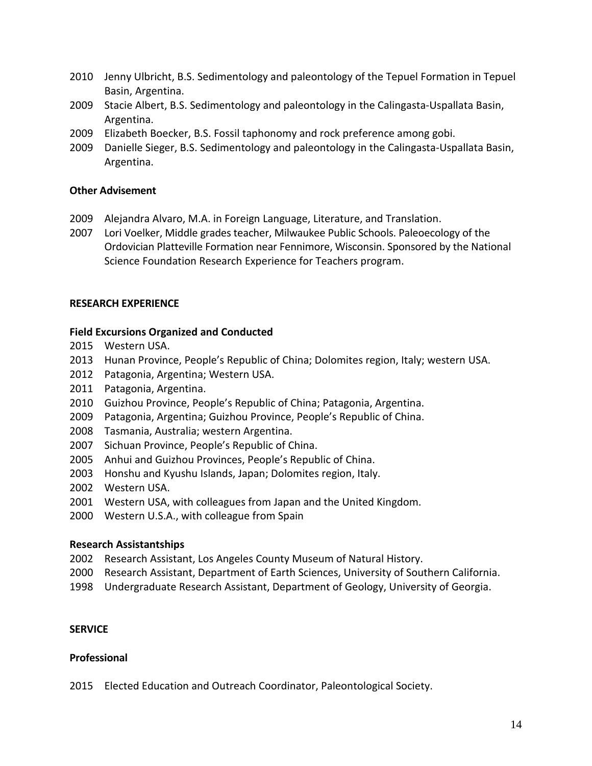- Jenny Ulbricht, B.S. Sedimentology and paleontology of the Tepuel Formation in Tepuel Basin, Argentina.
- Stacie Albert, B.S. Sedimentology and paleontology in the Calingasta-Uspallata Basin, Argentina.
- Elizabeth Boecker, B.S. Fossil taphonomy and rock preference among gobi.
- Danielle Sieger, B.S. Sedimentology and paleontology in the Calingasta-Uspallata Basin, Argentina.

## **Other Advisement**

- Alejandra Alvaro, M.A. in Foreign Language, Literature, and Translation.
- Lori Voelker, Middle grades teacher, Milwaukee Public Schools. Paleoecology of the Ordovician Platteville Formation near Fennimore, Wisconsin. Sponsored by the National Science Foundation Research Experience for Teachers program.

### **RESEARCH EXPERIENCE**

### **Field Excursions Organized and Conducted**

- Western USA.
- Hunan Province, People's Republic of China; Dolomites region, Italy; western USA.
- Patagonia, Argentina; Western USA.
- Patagonia, Argentina.
- Guizhou Province, People's Republic of China; Patagonia, Argentina.
- Patagonia, Argentina; Guizhou Province, People's Republic of China.
- Tasmania, Australia; western Argentina.
- Sichuan Province, People's Republic of China.
- Anhui and Guizhou Provinces, People's Republic of China.
- Honshu and Kyushu Islands, Japan; Dolomites region, Italy.
- Western USA.
- Western USA, with colleagues from Japan and the United Kingdom.
- Western U.S.A., with colleague from Spain

#### **Research Assistantships**

- Research Assistant, Los Angeles County Museum of Natural History.
- Research Assistant, Department of Earth Sciences, University of Southern California.
- Undergraduate Research Assistant, Department of Geology, University of Georgia.

#### **SERVICE**

#### **Professional**

Elected Education and Outreach Coordinator, Paleontological Society.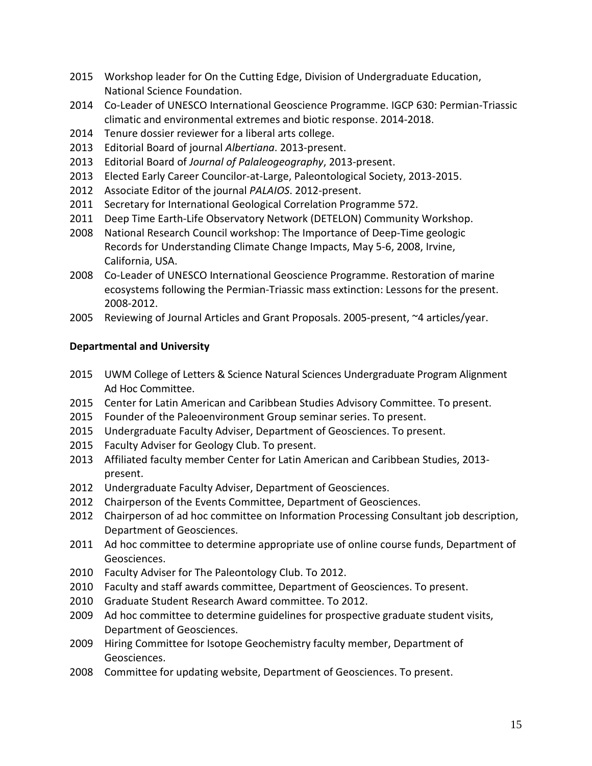- 2015 Workshop leader for On the Cutting Edge, Division of Undergraduate Education, National Science Foundation.
- 2014 Co-Leader of UNESCO International Geoscience Programme. IGCP 630: Permian-Triassic climatic and environmental extremes and biotic response. 2014-2018.
- 2014 Tenure dossier reviewer for a liberal arts college.
- 2013 Editorial Board of journal *Albertiana*. 2013-present.
- 2013 Editorial Board of *Journal of Palaleogeography*, 2013-present.
- 2013 Elected Early Career Councilor-at-Large, Paleontological Society, 2013-2015.
- 2012 Associate Editor of the journal *PALAIOS*. 2012-present.
- 2011 Secretary for International Geological Correlation Programme 572.
- 2011 Deep Time Earth-Life Observatory Network (DETELON) Community Workshop.
- 2008 National Research Council workshop: The Importance of Deep-Time geologic Records for Understanding Climate Change Impacts, May 5-6, 2008, Irvine, California, USA.
- 2008 Co-Leader of UNESCO International Geoscience Programme. Restoration of marine ecosystems following the Permian-Triassic mass extinction: Lessons for the present. 2008-2012.
- 2005 Reviewing of Journal Articles and Grant Proposals. 2005-present, ~4 articles/year.

# **Departmental and University**

- 2015 UWM College of Letters & Science Natural Sciences Undergraduate Program Alignment Ad Hoc Committee.
- 2015 Center for Latin American and Caribbean Studies Advisory Committee. To present.
- 2015 Founder of the Paleoenvironment Group seminar series. To present.
- 2015 Undergraduate Faculty Adviser, Department of Geosciences. To present.
- 2015 Faculty Adviser for Geology Club. To present.
- 2013 Affiliated faculty member Center for Latin American and Caribbean Studies, 2013 present.
- 2012 Undergraduate Faculty Adviser, Department of Geosciences.
- 2012 Chairperson of the Events Committee, Department of Geosciences.
- 2012 Chairperson of ad hoc committee on Information Processing Consultant job description, Department of Geosciences.
- 2011 Ad hoc committee to determine appropriate use of online course funds, Department of Geosciences.
- 2010 Faculty Adviser for The Paleontology Club. To 2012.
- 2010 Faculty and staff awards committee, Department of Geosciences. To present.
- 2010 Graduate Student Research Award committee. To 2012.
- 2009 Ad hoc committee to determine guidelines for prospective graduate student visits, Department of Geosciences.
- 2009 Hiring Committee for Isotope Geochemistry faculty member, Department of Geosciences.
- 2008 Committee for updating website, Department of Geosciences. To present.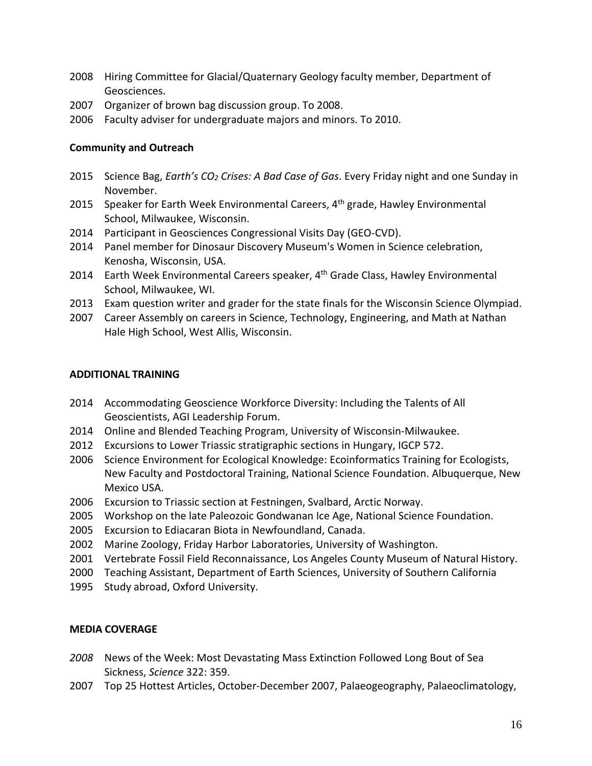- 2008 Hiring Committee for Glacial/Quaternary Geology faculty member, Department of Geosciences.
- 2007 Organizer of brown bag discussion group. To 2008.
- 2006 Faculty adviser for undergraduate majors and minors. To 2010.

### **Community and Outreach**

- 2015 Science Bag, *Earth's CO2 Crises: A Bad Case of Gas*. Every Friday night and one Sunday in November.
- 2015 Speaker for Earth Week Environmental Careers, 4<sup>th</sup> grade, Hawley Environmental School, Milwaukee, Wisconsin.
- 2014 Participant in Geosciences Congressional Visits Day (GEO-CVD).
- 2014 Panel member for Dinosaur Discovery Museum's Women in Science celebration, Kenosha, Wisconsin, USA.
- 2014 Earth Week Environmental Careers speaker, 4<sup>th</sup> Grade Class, Hawley Environmental School, Milwaukee, WI.
- 2013 Exam question writer and grader for the state finals for the Wisconsin Science Olympiad.
- 2007 Career Assembly on careers in Science, Technology, Engineering, and Math at Nathan Hale High School, West Allis, Wisconsin.

#### **ADDITIONAL TRAINING**

- 2014 Accommodating Geoscience Workforce Diversity: Including the Talents of All Geoscientists, AGI Leadership Forum.
- 2014 Online and Blended Teaching Program, University of Wisconsin-Milwaukee.
- 2012 Excursions to Lower Triassic stratigraphic sections in Hungary, IGCP 572.
- 2006 Science Environment for Ecological Knowledge: Ecoinformatics Training for Ecologists, New Faculty and Postdoctoral Training, National Science Foundation. Albuquerque, New Mexico USA.
- 2006 Excursion to Triassic section at Festningen, Svalbard, Arctic Norway.
- 2005 Workshop on the late Paleozoic Gondwanan Ice Age, National Science Foundation.
- 2005 Excursion to Ediacaran Biota in Newfoundland, Canada.
- 2002 Marine Zoology, Friday Harbor Laboratories, University of Washington.
- 2001 Vertebrate Fossil Field Reconnaissance, Los Angeles County Museum of Natural History.
- 2000 Teaching Assistant, Department of Earth Sciences, University of Southern California
- 1995 Study abroad, Oxford University.

## **MEDIA COVERAGE**

- *2008* News of the Week: Most Devastating Mass Extinction Followed Long Bout of Sea Sickness, *Science* 322: 359.
- 2007 Top 25 Hottest Articles, October-December 2007, Palaeogeography, Palaeoclimatology,